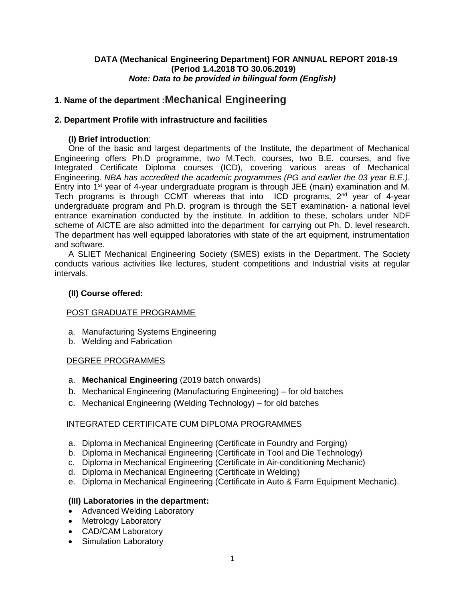### **DATA (Mechanical Engineering Department) FOR ANNUAL REPORT 2018-19 (Period 1.4.2018 TO 30.06.2019)** *Note: Data to be provided in bilingual form (English)*

## **1. Name of the department :Mechanical Engineering**

### **2. Department Profile with infrastructure and facilities**

### **(I) Brief introduction**:

One of the basic and largest departments of the Institute, the department of Mechanical Engineering offers Ph.D programme, two M.Tech. courses, two B.E. courses, and five Integrated Certificate Diploma courses (ICD), covering various areas of Mechanical Engineering. *NBA has accredited the academic programmes (PG and earlier the 03 year B.E.)*. Entry into 1<sup>st</sup> year of 4-year undergraduate program is through JEE (main) examination and M. Tech programs is through CCMT whereas that into ICD programs, 2<sup>nd</sup> year of 4-year undergraduate program and Ph.D. program is through the SET examination- a national level entrance examination conducted by the institute. In addition to these, scholars under NDF scheme of AICTE are also admitted into the department for carrying out Ph. D. level research. The department has well equipped laboratories with state of the art equipment, instrumentation and software.

A SLIET Mechanical Engineering Society (SMES) exists in the Department. The Society conducts various activities like lectures, student competitions and Industrial visits at regular intervals.

### **(II) Course offered:**

### POST GRADUATE PROGRAMME

- a. Manufacturing Systems Engineering
- b. Welding and Fabrication

### DEGREE PROGRAMMES

- a. **Mechanical Engineering** (2019 batch onwards)
- b. Mechanical Engineering (Manufacturing Engineering) for old batches
- c. Mechanical Engineering (Welding Technology) for old batches

### INTEGRATED CERTIFICATE CUM DIPLOMA PROGRAMMES

- a. Diploma in Mechanical Engineering (Certificate in Foundry and Forging)
- b. Diploma in Mechanical Engineering (Certificate in Tool and Die Technology)
- c. Diploma in Mechanical Engineering (Certificate in Air-conditioning Mechanic)
- d. Diploma in Mechanical Engineering (Certificate in Welding)
- e. Diploma in Mechanical Engineering (Certificate in Auto & Farm Equipment Mechanic).

### **(III) Laboratories in the department:**

- Advanced Welding Laboratory
- Metrology Laboratory
- CAD/CAM Laboratory
- Simulation Laboratory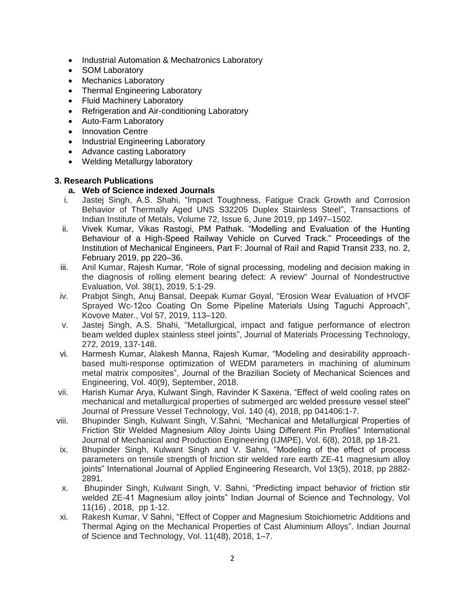- Industrial Automation & Mechatronics Laboratory
- SOM Laboratory
- Mechanics Laboratory
- Thermal Engineering Laboratory
- Fluid Machinery Laboratory
- Refrigeration and Air-conditioning Laboratory
- Auto-Farm Laboratory
- Innovation Centre
- Industrial Engineering Laboratory
- Advance casting Laboratory
- Welding Metallurgy laboratory

### **3. Research Publications**

### **a. Web of Science indexed Journals**

- i. Jastej Singh, A.S. Shahi, "Impact Toughness, Fatigue Crack Growth and Corrosion Behavior of Thermally Aged UNS S32205 Duplex Stainless Steel", Transactions of Indian Institute of Metals, Volume 72, [Issue](https://link.springer.com/journal/12666/72/6/page/1) 6, June 2019, pp 1497–1502.
- ii. Vivek Kumar, Vikas Rastogi, PM Pathak. "Modelling and Evaluation of the Hunting Behaviour of a High-Speed Railway Vehicle on Curved Track." Proceedings of the Institution of Mechanical Engineers, Part F: Journal of Rail and Rapid Transit 233, no. 2, February 2019, pp 220–36.
- iii. Anil Kumar, Rajesh Kumar, "Role of signal processing, modeling and decision making in the diagnosis of rolling element bearing defect: A review" Journal of Nondestructive Evaluation, Vol. 38(1), 2019, 5:1-29.
- iv. Prabjot Singh, Anuj Bansal, Deepak Kumar Goyal, "Erosion Wear Evaluation of HVOF Sprayed Wc-12co Coating On Some Pipeline Materials Using Taguchi Approach", Kovove Mater., Vol 57, 2019, 113–120.
- v. Jastej Singh, A.S. Shahi, "Metallurgical, impact and fatigue performance of electron beam welded duplex stainless steel joints", Journal of Materials Processing Technology, 272, 2019, 137-148.
- vi. Harmesh Kumar, Alakesh Manna, Rajesh Kumar, "Modeling and desirability approachbased multi-response optimization of WEDM parameters in machining of aluminum metal matrix composites", Journal of the Brazilian Society of Mechanical Sciences and Engineering, Vol. 40(9), September, 2018.
- vii. Harish Kumar Arya, Kulwant Singh, Ravinder K Saxena, "Effect of weld cooling rates on mechanical and metallurgical properties of submerged arc welded pressure vessel steel" Journal of Pressure Vessel Technology, Vol. 140 (4), 2018, pp 041406:1-7.
- viii. Bhupinder Singh, Kulwant Singh, V.Sahni, "Mechanical and Metallurgical Properties of Friction Stir Welded Magnesium Alloy Joints Using Different Pin Profiles" International Journal of Mechanical and Production Engineering (IJMPE), Vol. 6(8), 2018, pp 18-21.
- ix. Bhupinder Singh, Kulwant Singh and V. Sahni, "Modeling of the effect of process parameters on tensile strength of friction stir welded rare earth ZE-41 magnesium alloy joints" International Journal of Applied Engineering Research, Vol 13(5), 2018, pp 2882- 2891.
- x. Bhupinder Singh, Kulwant Singh, V. Sahni, "Predicting impact behavior of friction stir welded ZE-41 Magnesium alloy joints" Indian Journal of Science and Technology, Vol 11(16) , 2018, pp 1-12.
- xi. Rakesh Kumar, V Sahni, "Effect of Copper and Magnesium Stoichiometric Additions and Thermal Aging on the Mechanical Properties of Cast Aluminium Alloys". Indian Journal of Science and Technology, Vol. 11(48), 2018, 1–7.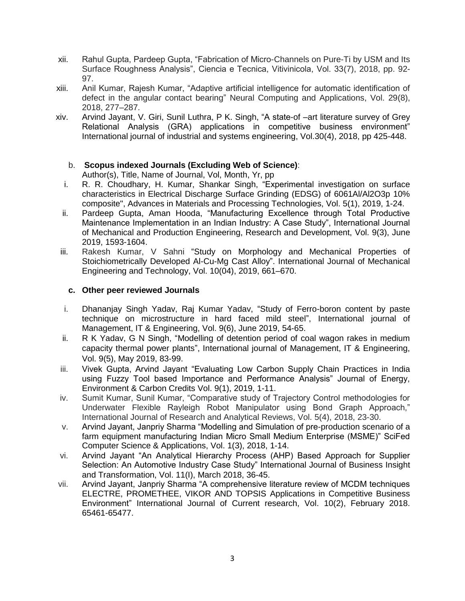- xii. Rahul Gupta, Pardeep Gupta, "Fabrication of Μicro-Channels on Pure-Ti by USM and Its Surface Roughness Analysis", Ciencia e Tecnica, Vitivinicola, Vol. 33(7), 2018, pp. 92- 97.
- xiii. Anil Kumar, Rajesh Kumar, "Adaptive artificial intelligence for automatic identification of defect in the angular contact bearing" Neural Computing and Applications, Vol. 29(8), 2018, 277–287.
- xiv. Arvind Jayant, V. Giri, Sunil Luthra, P K. Singh, "A state-of –art literature survey of Grey Relational Analysis (GRA) applications in competitive business environment" International journal of industrial and systems engineering, Vol.30(4), 2018, pp 425-448.

## b. **Scopus indexed Journals (Excluding Web of Science)**:

Author(s), Title, Name of Journal, Vol, Month, Yr, pp

- i. R. R. Choudhary, H. Kumar, Shankar Singh, "Experimental investigation on surface characteristics in Electrical Discharge Surface Grinding (EDSG) of 6061Al/Al2O3p 10% composite", Advances in Materials and Processing Technologies, Vol. 5(1), 2019, 1-24.
- ii. Pardeep Gupta, Aman Hooda, "Manufacturing Excellence through Total Productive Maintenance Implementation in an Indian Industry: A Case Study", International Journal of Mechanical and Production Engineering, Research and Development, Vol. 9(3), June 2019, 1593-1604.
- iii. Rakesh Kumar, V Sahni "Study on Morphology and Mechanical Properties of Stoichiometrically Developed Al-Cu-Mg Cast Alloy". International Journal of Mechanical Engineering and Technology, Vol. 10(04), 2019, 661–670.

### **c. Other peer reviewed Journals**

- i. Dhananjay Singh Yadav, Raj Kumar Yadav, "Study of Ferro-boron content by paste technique on microstructure in hard faced mild steel", International journal of Management, IT & Engineering, Vol. 9(6), June 2019, 54-65.
- ii. R K Yadav, G N Singh, "Modelling of detention period of coal wagon rakes in medium capacity thermal power plants", International journal of Management, IT & Engineering, Vol. 9(5), May 2019, 83-99.
- iii. Vivek Gupta, Arvind Jayant "Evaluating Low Carbon Supply Chain Practices in India using Fuzzy Tool based Importance and Performance Analysis" Journal of Energy, Environment & Carbon Credits Vol. 9(1), 2019, 1-11.
- iv. Sumit Kumar, Sunil Kumar, "Comparative study of Trajectory Control methodologies for Underwater Flexible Rayleigh Robot Manipulator using Bond Graph Approach," International Journal of Research and Analytical Reviews, Vol. 5(4), 2018, 23-30.
- v. Arvind Jayant, Janpriy Sharma "Modelling and Simulation of pre-production scenario of a farm equipment manufacturing Indian Micro Small Medium Enterprise (MSME)" SciFed Computer Science & Applications, Vol. 1(3), 2018, 1-14.
- vi. Arvind Jayant "An Analytical Hierarchy Process (AHP) Based Approach for Supplier Selection: An Automotive Industry Case Study" International Journal of Business Insight and Transformation, Vol. 11(I), March 2018, 36-45.
- vii. Arvind Jayant, Janpriy Sharma "A comprehensive literature review of MCDM techniques ELECTRE, PROMETHEE, VIKOR AND TOPSIS Applications in Competitive Business Environment" International Journal of Current research, Vol. 10(2), February 2018. 65461-65477.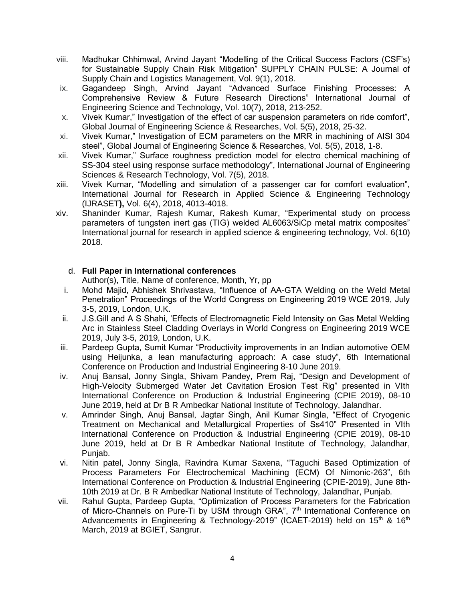- viii. Madhukar Chhimwal, Arvind Jayant "Modelling of the Critical Success Factors (CSF's) for Sustainable Supply Chain Risk Mitigation" SUPPLY CHAIN PULSE: A Journal of Supply Chain and Logistics Management, Vol. 9(1), 2018.
- ix. Gagandeep Singh, Arvind Jayant "Advanced Surface Finishing Processes: A Comprehensive Review & Future Research Directions" International Journal of Engineering Science and Technology, Vol. 10(7), 2018, 213-252.
- x. Vivek Kumar," Investigation of the effect of car suspension parameters on ride comfort", Global Journal of Engineering Science & Researches, Vol. 5(5), 2018, 25-32.
- xi. Vivek Kumar," Investigation of ECM parameters on the MRR in machining of AISI 304 steel", Global Journal of Engineering Science & Researches, Vol. 5(5), 2018, 1-8.
- xii. Vivek Kumar," Surface roughness prediction model for electro chemical machining of SS-304 steel using response surface methodology", International Journal of Engineering Sciences & Research Technology, Vol. 7(5), 2018.
- xiii. Vivek Kumar, "Modelling and simulation of a passenger car for comfort evaluation", International Journal for Research in Applied Science & Engineering Technology (IJRASET**),** Vol. 6(4), 2018, 4013-4018.
- xiv. Shaninder Kumar, Rajesh Kumar, Rakesh Kumar, "Experimental study on process parameters of tungsten inert gas (TIG) welded AL6063/SiCp metal matrix composites" International journal for research in applied science & engineering technology*,* Vol. 6(10) 2018.**s**

## d. **Full Paper in International conferences**

Author(s), Title, Name of conference, Month, Yr, pp

- i. Mohd Majid, Abhishek Shrivastava, "Influence of AA-GTA Welding on the Weld Metal Penetration" Proceedings of the World Congress on Engineering 2019 WCE 2019, July 3-5, 2019, London, U.K.
- ii. J.S.Gill and A S Shahi, 'Effects of Electromagnetic Field Intensity on Gas Metal Welding Arc in Stainless Steel Cladding Overlays in World Congress on Engineering 2019 WCE 2019, July 3-5, 2019, London, U.K.
- iii. Pardeep Gupta, Sumit Kumar "Productivity improvements in an Indian automotive OEM using Heijunka, a lean manufacturing approach: A case study", 6th International Conference on Production and Industrial Engineering 8-10 June 2019.
- iv. Anuj Bansal, Jonny Singla, Shivam Pandey, Prem Raj, "Design and Development of High-Velocity Submerged Water Jet Cavitation Erosion Test Rig" presented in VIth International Conference on Production & Industrial Engineering (CPIE 2019), 08-10 June 2019, held at Dr B R Ambedkar National Institute of Technology, Jalandhar.
- v. Amrinder Singh, Anuj Bansal, Jagtar Singh, Anil Kumar Singla, "Effect of Cryogenic Treatment on Mechanical and Metallurgical Properties of Ss410" Presented in VIth International Conference on Production & Industrial Engineering (CPIE 2019), 08-10 June 2019, held at Dr B R Ambedkar National Institute of Technology, Jalandhar, Punjab.
- vi. Nitin patel, Jonny Singla, Ravindra Kumar Saxena, "Taguchi Based Optimization of Process Parameters For Electrochemical Machining (ECM) Of Nimonic-263", 6th International Conference on Production & Industrial Engineering (CPIE-2019), June 8th-10th 2019 at Dr. B R Ambedkar National Institute of Technology, Jalandhar, Punjab.
- vii. Rahul Gupta, Pardeep Gupta, "Optimization of Process Parameters for the Fabrication of Micro-Channels on Pure-Ti by USM through GRA", 7<sup>th</sup> International Conference on Advancements in Engineering & Technology-2019" (ICAET-2019) held on 15<sup>th</sup> & 16<sup>th</sup> March, 2019 at BGIET, Sangrur.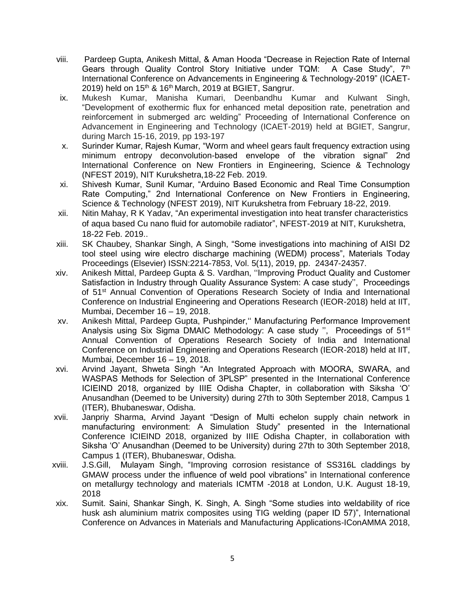- viii. Pardeep Gupta, Anikesh Mittal, & Aman Hooda "Decrease in Rejection Rate of Internal Gears through Quality Control Story Initiative under TQM: A Case Study",  $7<sup>th</sup>$ International Conference on Advancements in Engineering & Technology-2019" (ICAET-2019) held on  $15<sup>th</sup>$  &  $16<sup>th</sup>$  March, 2019 at BGIET, Sangrur.
- ix. Mukesh Kumar, Manisha Kumari, Deenbandhu Kumar and Kulwant Singh, "Development of exothermic flux for enhanced metal deposition rate, penetration and reinforcement in submerged arc welding" Proceeding of International Conference on Advancement in Engineering and Technology (ICAET-2019) held at BGIET, Sangrur, during March 15-16, 2019, pp 193-197
- x. Surinder Kumar, Rajesh Kumar, "Worm and wheel gears fault frequency extraction using minimum entropy deconvolution-based envelope of the vibration signal" 2nd International Conference on New Frontiers in Engineering, Science & Technology (NFEST 2019), NIT Kurukshetra,18-22 Feb. 2019.
- xi. Shivesh Kumar, Sunil Kumar, "Arduino Based Economic and Real Time Consumption Rate Computing," 2nd International Conference on New Frontiers in Engineering, Science & Technology (NFEST 2019), NIT Kurukshetra from February 18-22, 2019.
- xii. Nitin Mahay, R K Yadav, "An experimental investigation into heat transfer characteristics of aqua based Cu nano fluid for automobile radiator", NFEST-2019 at NIT, Kurukshetra, 18-22 Feb. 2019..
- xiii. SK Chaubey, Shankar Singh, A Singh, "Some investigations into machining of AISI D2 tool steel using wire electro discharge machining (WEDM) process", Materials Today Proceedings (Elsevier) ISSN:2214-7853, Vol. 5(11), 2019, pp. 24347-24357.
- xiv. Anikesh Mittal, Pardeep Gupta & S. Vardhan, ''Improving Product Quality and Customer Satisfaction in Industry through Quality Assurance System: A case study'', Proceedings of 51<sup>st</sup> Annual Convention of Operations Research Society of India and International Conference on Industrial Engineering and Operations Research (IEOR-2018) held at IIT, Mumbai, December 16 – 19, 2018.
- xv. Anikesh Mittal, Pardeep Gupta, Pushpinder,'' Manufacturing Performance Improvement Analysis using Six Sigma DMAIC Methodology: A case study ", Proceedings of 51<sup>st</sup> Annual Convention of Operations Research Society of India and International Conference on Industrial Engineering and Operations Research (IEOR-2018) held at IIT, Mumbai, December 16 – 19, 2018.
- xvi. Arvind Jayant, Shweta Singh "An Integrated Approach with MOORA, SWARA, and WASPAS Methods for Selection of 3PLSP" presented in the International Conference ICIEIND 2018, organized by IIIE Odisha Chapter, in collaboration with Siksha 'O' Anusandhan (Deemed to be University) during 27th to 30th September 2018, Campus 1 (ITER), Bhubaneswar, Odisha.
- xvii. Janpriy Sharma, Arvind Jayant "Design of Multi echelon supply chain network in manufacturing environment: A Simulation Study" presented in the International Conference ICIEIND 2018, organized by IIIE Odisha Chapter, in collaboration with Siksha 'O' Anusandhan (Deemed to be University) during 27th to 30th September 2018, Campus 1 (ITER), Bhubaneswar, Odisha.
- xviii. J.S.Gill, Mulayam Singh, "Improving corrosion resistance of SS316L claddings by GMAW process under the influence of weld pool vibrations" in International conference on metallurgy technology and materials ICMTM -2018 at London, U.K. August 18-19, 2018
- xix. Sumit. Saini, Shankar Singh, K. Singh, A. Singh "Some studies into weldability of rice husk ash aluminium matrix composites using TIG welding (paper ID 57)", International Conference on Advances in Materials and Manufacturing Applications-IConAMMA 2018,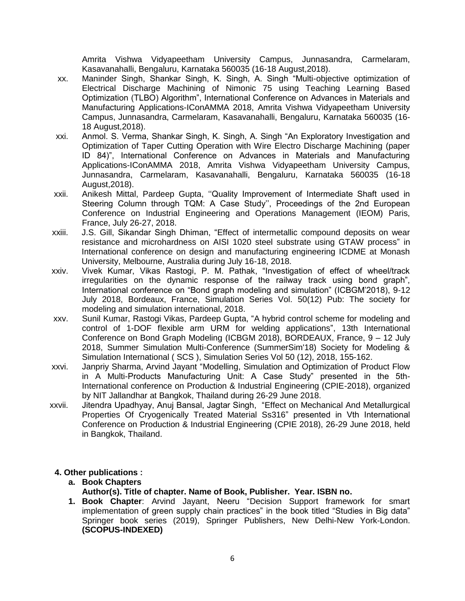Amrita Vishwa Vidyapeetham University Campus, Junnasandra, Carmelaram, Kasavanahalli, Bengaluru, Karnataka 560035 (16-18 August,2018).

- xx. Maninder Singh, Shankar Singh, K. Singh, A. Singh "Multi-objective optimization of Electrical Discharge Machining of Nimonic 75 using Teaching Learning Based Optimization (TLBO) Algorithm", International Conference on Advances in Materials and Manufacturing Applications-IConAMMA 2018, Amrita Vishwa Vidyapeetham University Campus, Junnasandra, Carmelaram, Kasavanahalli, Bengaluru, Karnataka 560035 (16- 18 August,2018).
- xxi. Anmol. S. Verma, Shankar Singh, K. Singh, A. Singh "An Exploratory Investigation and Optimization of Taper Cutting Operation with Wire Electro Discharge Machining (paper ID 84)", International Conference on Advances in Materials and Manufacturing Applications-IConAMMA 2018, Amrita Vishwa Vidyapeetham University Campus, Junnasandra, Carmelaram, Kasavanahalli, Bengaluru, Karnataka 560035 (16-18 August,2018).
- xxii. Anikesh Mittal, Pardeep Gupta, ''Quality Improvement of Intermediate Shaft used in Steering Column through TQM: A Case Study'', Proceedings of the 2nd European Conference on Industrial Engineering and Operations Management (IEOM) Paris, France, July 26-27, 2018.
- xxiii. J.S. Gill, Sikandar Singh Dhiman, "Effect of intermetallic compound deposits on wear resistance and microhardness on AISI 1020 steel substrate using GTAW process" in International conference on design and manufacturing engineering ICDME at Monash University, Melbourne, Australia during July 16-18, 2018.
- xxiv. Vivek Kumar, Vikas Rastogi, P. M. Pathak, "Investigation of effect of wheel/track irregularities on the dynamic response of the railway track using bond graph", International conference on "Bond graph modeling and simulation" (ICBGM'2018), 9-12 July 2018, Bordeaux, France, Simulation Series Vol. 50(12) Pub: The society for modeling and simulation international, 2018.
- xxv. Sunil Kumar, Rastogi Vikas, Pardeep Gupta, "A hybrid control scheme for modeling and control of 1-DOF flexible arm URM for welding applications", 13th International Conference on Bond Graph Modeling (ICBGM 2018), BORDEAUX, France, 9 – 12 July 2018, Summer Simulation Multi-Conference (SummerSim'18) Society for Modeling & Simulation International ( SCS ), Simulation Series Vol 50 (12), 2018, 155-162.
- xxvi. Janpriy Sharma, Arvind Jayant "Modelling, Simulation and Optimization of Product Flow in A Multi-Products Manufacturing Unit: A Case Study" presented in the 5th-International conference on Production & Industrial Engineering (CPIE-2018), organized by NIT Jallandhar at Bangkok, Thailand during 26-29 June 2018.
- xxvii. Jitendra Upadhyay, Anuj Bansal, Jagtar Singh, "Effect on Mechanical And Metallurgical Properties Of Cryogenically Treated Material Ss316" presented in Vth International Conference on Production & Industrial Engineering (CPIE 2018), 26-29 June 2018, held in Bangkok, Thailand.

### **4. Other publications :**

**a. Book Chapters**

**Author(s). Title of chapter. Name of Book, Publisher. Year. ISBN no.**

**1. Book Chapter**: Arvind Jayant, Neeru "Decision Support framework for smart implementation of green supply chain practices" in the book titled "Studies in Big data" Springer book series (2019), Springer Publishers, New Delhi-New York-London. **(SCOPUS-INDEXED)**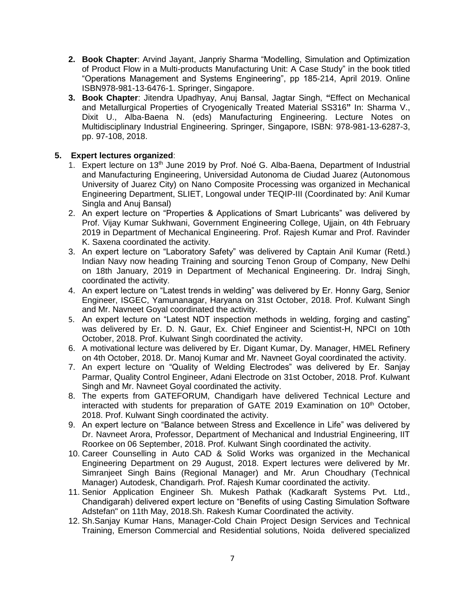- **2. Book Chapter**: Arvind Jayant, Janpriy Sharma "Modelling, Simulation and Optimization of Product Flow in a Multi-products Manufacturing Unit: A Case Study" in the book titled "Operations Management and Systems Engineering", pp 185-214, April 2019. Online ISBN978-981-13-6476-1. Springer, Singapore.
- **3. Book Chapter**: Jitendra Upadhyay, Anuj Bansal, Jagtar Singh, **"**Effect on Mechanical and Metallurgical Properties of Cryogenically Treated Material SS316**"** In: Sharma V., Dixit U., Alba-Baena N. (eds) Manufacturing Engineering. Lecture Notes on Multidisciplinary Industrial Engineering. Springer, Singapore, ISBN: 978-981-13-6287-3, pp. 97-108, 2018.

## **5. Expert lectures organized**:

- 1. Expert lecture on 13<sup>th</sup> June 2019 by Prof. Noé G. Alba-Baena, Department of Industrial and Manufacturing Engineering, Universidad Autonoma de Ciudad Juarez (Autonomous University of Juarez City) on Nano Composite Processing was organized in Mechanical Engineering Department, SLIET, Longowal under TEQIP-III (Coordinated by: Anil Kumar Singla and Anuj Bansal)
- 2. An expert lecture on "Properties & Applications of Smart Lubricants" was delivered by Prof. Vijay Kumar Sukhwani, Government Engineering College, Ujjain, on 4th February 2019 in Department of Mechanical Engineering. Prof. Rajesh Kumar and Prof. Ravinder K. Saxena coordinated the activity.
- 3. An expert lecture on "Laboratory Safety" was delivered by Captain Anil Kumar (Retd.) Indian Navy now heading Training and sourcing Tenon Group of Company, New Delhi on 18th January, 2019 in Department of Mechanical Engineering. Dr. Indraj Singh, coordinated the activity.
- 4. An expert lecture on "Latest trends in welding" was delivered by Er. Honny Garg, Senior Engineer, ISGEC, Yamunanagar, Haryana on 31st October, 2018. Prof. Kulwant Singh and Mr. Navneet Goyal coordinated the activity.
- 5. An expert lecture on "Latest NDT inspection methods in welding, forging and casting" was delivered by Er. D. N. Gaur, Ex. Chief Engineer and Scientist-H, NPCI on 10th October, 2018. Prof. Kulwant Singh coordinated the activity.
- 6. A motivational lecture was delivered by Er. Digant Kumar, Dy. Manager, HMEL Refinery on 4th October, 2018. Dr. Manoj Kumar and Mr. Navneet Goyal coordinated the activity.
- 7. An expert lecture on "Quality of Welding Electrodes" was delivered by Er. Sanjay Parmar, Quality Control Engineer, Adani Electrode on 31st October, 2018. Prof. Kulwant Singh and Mr. Navneet Goyal coordinated the activity.
- 8. The experts from GATEFORUM, Chandigarh have delivered Technical Lecture and interacted with students for preparation of GATE 2019 Examination on  $10<sup>th</sup>$  October, 2018. Prof. Kulwant Singh coordinated the activity.
- 9. An expert lecture on "Balance between Stress and Excellence in Life" was delivered by Dr. Navneet Arora, Professor, Department of Mechanical and Industrial Engineering, IIT Roorkee on 06 September, 2018. Prof. Kulwant Singh coordinated the activity.
- 10. Career Counselling in Auto CAD & Solid Works was organized in the Mechanical Engineering Department on 29 August, 2018. Expert lectures were delivered by Mr. Simranjeet Singh Bains (Regional Manager) and Mr. Arun Choudhary (Technical Manager) Autodesk, Chandigarh. Prof. Rajesh Kumar coordinated the activity.
- 11. Senior Application Engineer Sh. Mukesh Pathak (Kadkaraft Systems Pvt. Ltd., Chandigarah) delivered expert lecture on "Benefits of using Casting Simulation Software Adstefan" on 11th May, 2018.Sh. Rakesh Kumar Coordinated the activity.
- 12. Sh.Sanjay Kumar Hans, Manager-Cold Chain Project Design Services and Technical Training, Emerson Commercial and Residential solutions, Noida delivered specialized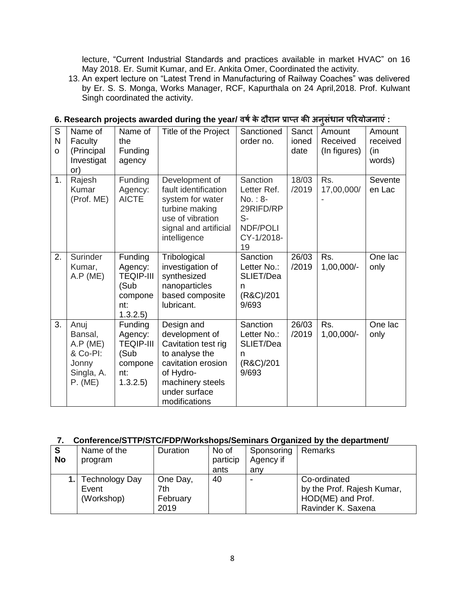lecture, "Current Industrial Standards and practices available in market HVAC" on 16 May 2018. Er. Sumit Kumar, and Er. Ankita Omer, Coordinated the activity.

13. An expert lecture on "Latest Trend in Manufacturing of Railway Coaches" was delivered by Er. S. S. Monga, Works Manager, RCF, Kapurthala on 24 April,2018. Prof. Kulwant Singh coordinated the activity.

| S<br>N<br>$\Omega$ | Name of<br>Faculty<br>(Principal<br>Investigat<br>or)                     | Name of<br>the<br>Funding<br>agency                                          | Title of the Project                                                                                                                                           | Sanctioned<br>order no.                                                                   | Sanct<br>ioned<br>date | Amount<br>Received<br>(In figures) | Amount<br>received<br>(in<br>words) |
|--------------------|---------------------------------------------------------------------------|------------------------------------------------------------------------------|----------------------------------------------------------------------------------------------------------------------------------------------------------------|-------------------------------------------------------------------------------------------|------------------------|------------------------------------|-------------------------------------|
| 1.                 | Rajesh<br>Kumar<br>(Prof. ME)                                             | Funding<br>Agency:<br><b>AICTE</b>                                           | Development of<br>fault identification<br>system for water<br>turbine making<br>use of vibration<br>signal and artificial<br>intelligence                      | Sanction<br>Letter Ref.<br>$No.: 8-$<br>29RIFD/RP<br>$S-$<br>NDF/POLI<br>CY-1/2018-<br>19 | 18/03<br>/2019         | Rs.<br>17,00,000/                  | Sevente<br>en Lac                   |
| 2.                 | Surinder<br>Kumar,<br>A.P (ME)                                            | Funding<br>Agency:<br><b>TEQIP-III</b><br>(Sub<br>compone<br>nt:<br>1.3.2.5  | Tribological<br>investigation of<br>synthesized<br>nanoparticles<br>based composite<br>lubricant.                                                              | Sanction<br>Letter No.:<br>SLIET/Dea<br>n<br>(R&C)/201<br>9/693                           | 26/03<br>/2019         | Rs.<br>1,00,000/-                  | One lac<br>only                     |
| 3.                 | Anuj<br>Bansal,<br>A.P (ME)<br>& Co-PI:<br>Jonny<br>Singla, A.<br>P. (ME) | Funding<br>Agency:<br><b>TEQIP-III</b><br>(Sub<br>compone<br>nt:<br>1.3.2.5) | Design and<br>development of<br>Cavitation test rig<br>to analyse the<br>cavitation erosion<br>of Hydro-<br>machinery steels<br>under surface<br>modifications | Sanction<br>Letter No.:<br>SLIET/Dea<br>n<br>(R&C)/201<br>9/693                           | 26/03<br>/2019         | Rs.<br>1,00,000/-                  | One lac<br>only                     |

# **6. Research projects awarded during the year/ वर्षके दौरान प्राप्त की अनसु धं ान पररयोजनाएं :**

## **7. Conference/STTP/STC/FDP/Workshops/Seminars Organized by the department/**

| S<br><b>No</b> | Name of the<br>program                       | Duration                            | No of<br>particip<br>ants | Sponsoring<br>Agency if<br>anv | Remarks                                                                               |
|----------------|----------------------------------------------|-------------------------------------|---------------------------|--------------------------------|---------------------------------------------------------------------------------------|
|                | <b>Technology Day</b><br>Event<br>(Workshop) | One Day,<br>7th<br>February<br>2019 | 40                        |                                | Co-ordinated<br>by the Prof. Rajesh Kumar,<br>HOD(ME) and Prof.<br>Ravinder K. Saxena |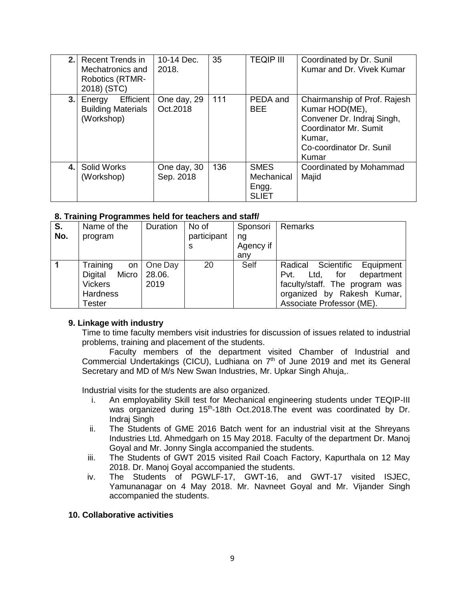|    | 2. Recent Trends in<br>Mechatronics and<br>Robotics (RTMR-<br>2018) (STC) | 10-14 Dec.<br>2018.      | 35  | <b>TEQIP III</b>                                   | Coordinated by Dr. Sunil<br>Kumar and Dr. Vivek Kumar                                                                                                       |
|----|---------------------------------------------------------------------------|--------------------------|-----|----------------------------------------------------|-------------------------------------------------------------------------------------------------------------------------------------------------------------|
| 3. | Efficient<br>Energy<br><b>Building Materials</b><br>(Workshop)            | One day, 29<br>Oct.2018  | 111 | PEDA and<br><b>BEE</b>                             | Chairmanship of Prof. Rajesh<br>Kumar HOD(ME),<br>Convener Dr. Indraj Singh,<br><b>Coordinator Mr. Sumit</b><br>Kumar,<br>Co-coordinator Dr. Sunil<br>Kumar |
| 4. | <b>Solid Works</b><br>(Workshop)                                          | One day, 30<br>Sep. 2018 | 136 | <b>SMES</b><br>Mechanical<br>Engg.<br><b>SLIET</b> | Coordinated by Mohammad<br>Majid                                                                                                                            |

### **8. Training Programmes held for teachers and staff/**

| S.<br>No. | Name of the<br>program | Duration | No of<br>participant | Sponsori<br>ng | Remarks                           |
|-----------|------------------------|----------|----------------------|----------------|-----------------------------------|
|           |                        |          | s                    | Agency if      |                                   |
|           |                        |          |                      | anv            |                                   |
|           |                        |          |                      |                |                                   |
|           | Training<br>on I       | One Day  | 20                   | Self           | Radical Scientific<br>Equipment   |
|           | Micro<br>Digital       | 28.06.   |                      |                | department<br>Ltd.<br>for<br>Pvt. |
|           | <b>Vickers</b>         | 2019     |                      |                | faculty/staff. The program was    |
|           | <b>Hardness</b>        |          |                      |                | organized by Rakesh Kumar,        |
|           | Tester                 |          |                      |                | Associate Professor (ME).         |

### **9. Linkage with industry**

Time to time faculty members visit industries for discussion of issues related to industrial problems, training and placement of the students.

Faculty members of the department visited Chamber of Industrial and Commercial Undertakings (CICU), Ludhiana on 7<sup>th</sup> of June 2019 and met its General Secretary and MD of M/s New Swan Industries, Mr. Upkar Singh Ahuja,.

Industrial visits for the students are also organized.

- i. An employability Skill test for Mechanical engineering students under TEQIP-III was organized during 15<sup>th</sup>-18th Oct.2018. The event was coordinated by Dr. Indraj Singh
- ii. The Students of GME 2016 Batch went for an industrial visit at the Shreyans Industries Ltd. Ahmedgarh on 15 May 2018. Faculty of the department Dr. Manoj Goyal and Mr. Jonny Singla accompanied the students.
- iii. The Students of GWT 2015 visited Rail Coach Factory, Kapurthala on 12 May 2018. Dr. Manoj Goyal accompanied the students.
- iv. The Students of PGWLF-17, GWT-16, and GWT-17 visited ISJEC, Yamunanagar on 4 May 2018. Mr. Navneet Goyal and Mr. Vijander Singh accompanied the students.

### **10. Collaborative activities**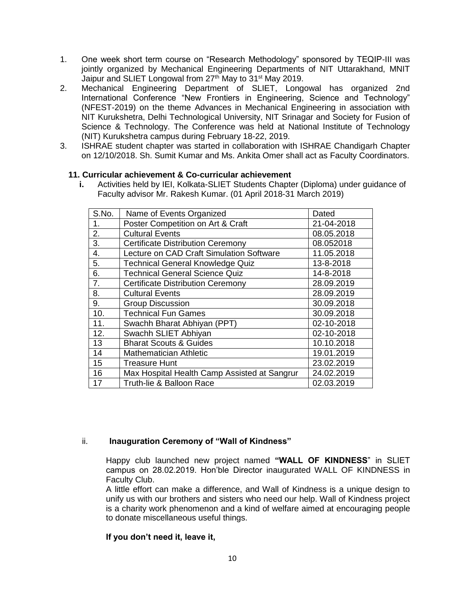- 1. One week short term course on "Research Methodology" sponsored by TEQIP-III was jointly organized by Mechanical Engineering Departments of NIT Uttarakhand, MNIT Jaipur and SLIET Longowal from 27<sup>th</sup> May to 31<sup>st</sup> May 2019.
- 2. Mechanical Engineering Department of SLIET, Longowal has organized 2nd International Conference "New Frontiers in Engineering, Science and Technology" (NFEST-2019) on the theme Advances in Mechanical Engineering in association with NIT Kurukshetra, Delhi Technological University, NIT Srinagar and Society for Fusion of Science & Technology. The Conference was held at National Institute of Technology (NIT) Kurukshetra campus during February 18-22, 2019.
- 3. ISHRAE student chapter was started in collaboration with ISHRAE Chandigarh Chapter on 12/10/2018. Sh. Sumit Kumar and Ms. Ankita Omer shall act as Faculty Coordinators.

### **11. Curricular achievement & Co-curricular achievement**

Activities held by IEI, Kolkata-SLIET Students Chapter (Diploma) under guidance of Faculty advisor Mr. Rakesh Kumar. (01 April 2018-31 March 2019)

| S.No. | Name of Events Organized                     | Dated      |
|-------|----------------------------------------------|------------|
| 1.    | Poster Competition on Art & Craft            | 21-04-2018 |
| 2.    | <b>Cultural Events</b>                       | 08.05.2018 |
| 3.    | <b>Certificate Distribution Ceremony</b>     | 08.052018  |
| 4.    | Lecture on CAD Craft Simulation Software     | 11.05.2018 |
| 5.    | <b>Technical General Knowledge Quiz</b>      | 13-8-2018  |
| 6.    | <b>Technical General Science Quiz</b>        | 14-8-2018  |
| 7.    | <b>Certificate Distribution Ceremony</b>     | 28.09.2019 |
| 8.    | <b>Cultural Events</b>                       | 28.09.2019 |
| 9.    | <b>Group Discussion</b>                      | 30.09.2018 |
| 10.   | <b>Technical Fun Games</b>                   | 30.09.2018 |
| 11.   | Swachh Bharat Abhiyan (PPT)                  | 02-10-2018 |
| 12.   | Swachh SLIET Abhiyan                         | 02-10-2018 |
| 13    | <b>Bharat Scouts &amp; Guides</b>            | 10.10.2018 |
| 14    | <b>Mathematician Athletic</b>                | 19.01.2019 |
| 15    | <b>Treasure Hunt</b>                         | 23.02.2019 |
| 16    | Max Hospital Health Camp Assisted at Sangrur | 24.02.2019 |
| 17    | Truth-lie & Balloon Race                     | 02.03.2019 |

### ii. **Inauguration Ceremony of "Wall of Kindness"**

Happy club launched new project named **"WALL OF KINDNESS**" in SLIET campus on 28.02.2019. Hon'ble Director inaugurated WALL OF KINDNESS in Faculty Club.

A little effort can make a difference, and Wall of Kindness is a unique design to unify us with our brothers and sisters who need our help. Wall of Kindness project is a charity work phenomenon and a kind of welfare aimed at encouraging people to donate miscellaneous useful things.

### **If you don't need it, leave it,**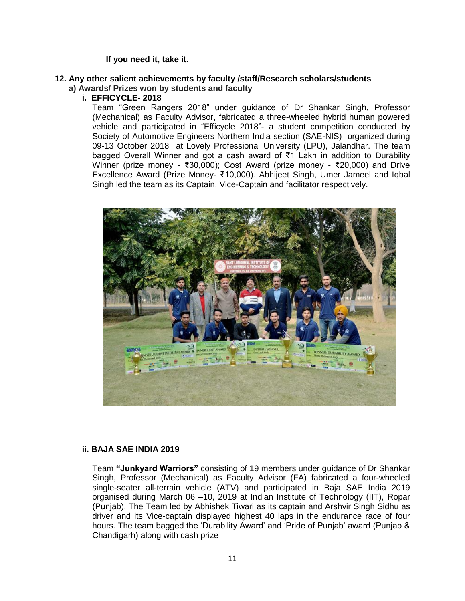### **If you need it, take it.**

#### **12. Any other salient achievements by faculty /staff/Research scholars/students a) Awards/ Prizes won by students and faculty**

**i. EFFICYCLE- 2018**

Team "Green Rangers 2018" under guidance of Dr Shankar Singh, Professor (Mechanical) as Faculty Advisor, fabricated a three-wheeled hybrid human powered vehicle and participated in "Efficycle 2018"- a student competition conducted by Society of Automotive Engineers Northern India section (SAE-NIS) organized during 09-13 October 2018 at Lovely Professional University (LPU), Jalandhar. The team bagged Overall Winner and got a cash award of ₹1 Lakh in addition to Durability Winner (prize money - ₹30,000); Cost Award (prize money - ₹20,000) and Drive Excellence Award (Prize Money- ₹10,000). Abhijeet Singh, Umer Jameel and Iqbal Singh led the team as its Captain, Vice-Captain and facilitator respectively.



### **ii. BAJA SAE INDIA 2019**

Team **"Junkyard Warriors"** consisting of 19 members under guidance of Dr Shankar Singh, Professor (Mechanical) as Faculty Advisor (FA) fabricated a four-wheeled single-seater all-terrain vehicle (ATV) and participated in Baja SAE India 2019 organised during March 06 –10, 2019 at Indian Institute of Technology (IIT), Ropar (Punjab). The Team led by Abhishek Tiwari as its captain and Arshvir Singh Sidhu as driver and its Vice-captain displayed highest 40 laps in the endurance race of four hours. The team bagged the 'Durability Award' and 'Pride of Punjab' award (Punjab & Chandigarh) along with cash prize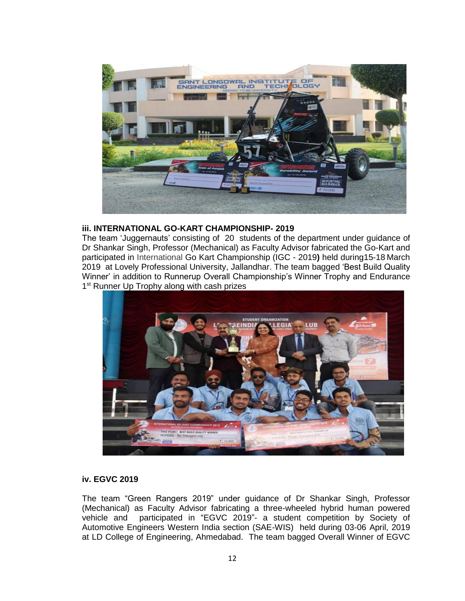

### **iii. INTERNATIONAL GO-KART CHAMPIONSHIP- 2019**

The team 'Juggernauts' consisting of 20 students of the department under guidance of Dr Shankar Singh, Professor (Mechanical) as Faculty Advisor fabricated the Go-Kart and participated in International Go Kart Championship (IGC - 2019**)** held during15-18 March 2019 at Lovely Professional University, Jallandhar. The team bagged 'Best Build Quality Winner' in addition to Runnerup Overall Championship's Winner Trophy and Endurance 1<sup>st</sup> Runner Up Trophy along with cash prizes



### **iv. EGVC 2019**

The team "Green Rangers 2019" under guidance of Dr Shankar Singh, Professor (Mechanical) as Faculty Advisor fabricating a three-wheeled hybrid human powered vehicle and participated in "EGVC 2019"- a student competition by Society of Automotive Engineers Western India section (SAE-WIS) held during 03-06 April, 2019 at LD College of Engineering, Ahmedabad. The team bagged Overall Winner of EGVC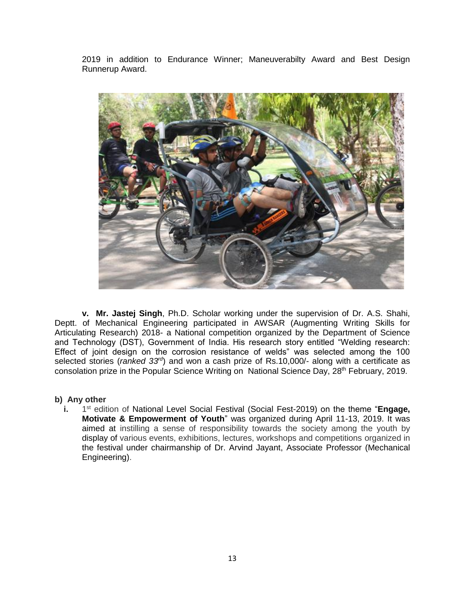2019 in addition to Endurance Winner; Maneuverabilty Award and Best Design Runnerup Award.



**v. Mr. Jastej Singh**, Ph.D. Scholar working under the supervision of Dr. A.S. Shahi, Deptt. of Mechanical Engineering participated in AWSAR (Augmenting Writing Skills for Articulating Research) 2018- a National competition organized by the Department of Science and Technology (DST), Government of India. His research story entitled "Welding research: Effect of joint design on the corrosion resistance of welds" was selected among the 100 selected stories (*ranked 33rd*) and won a cash prize of Rs.10,000/- along with a certificate as consolation prize in the Popular Science Writing on National Science Day, 28<sup>th</sup> February, 2019.

### **b) Any other**

**i.** 1 1<sup>st</sup> edition of National Level Social Festival (Social Fest-2019) on the theme "Engage, **Motivate & Empowerment of Youth**" was organized during April 11-13, 2019. It was aimed at instilling a sense of responsibility towards the society among the youth by display of various events, exhibitions, lectures, workshops and competitions organized in the festival under chairmanship of Dr. Arvind Jayant, Associate Professor (Mechanical Engineering).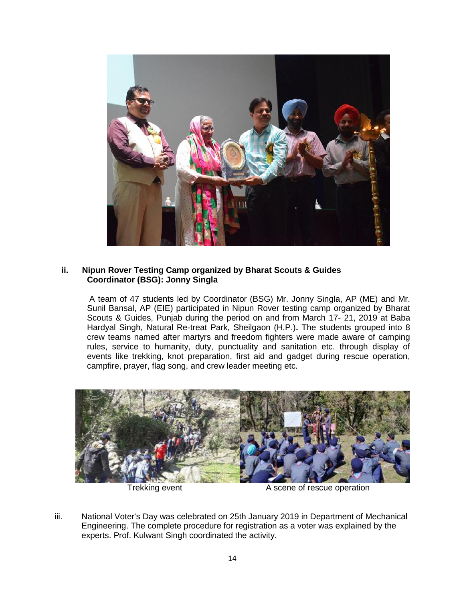

### **ii. Nipun Rover Testing Camp organized by Bharat Scouts & Guides Coordinator (BSG): Jonny Singla**

A team of 47 students led by Coordinator (BSG) Mr. Jonny Singla, AP (ME) and Mr. Sunil Bansal, AP (EIE) participated in Nipun Rover testing camp organized by Bharat Scouts & Guides, Punjab during the period on and from March 17- 21, 2019 at Baba Hardyal Singh, Natural Re-treat Park, Sheilgaon (H.P.)**.** The students grouped into 8 crew teams named after martyrs and freedom fighters were made aware of camping rules, service to humanity, duty, punctuality and sanitation etc. through display of events like trekking, knot preparation, first aid and gadget during rescue operation, campfire, prayer, flag song, and crew leader meeting etc.



Trekking event **A** scene of rescue operation

iii. National Voter's Day was celebrated on 25th January 2019 in Department of Mechanical Engineering. The complete procedure for registration as a voter was explained by the experts. Prof. Kulwant Singh coordinated the activity.